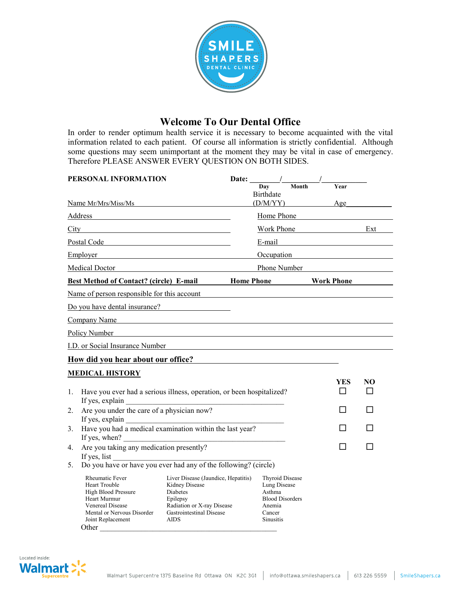

## **Welcome To Our Dental Office**

In order to render optimum health service it is necessary to become acquainted with the vital information related to each patient. Of course all information is strictly confidential. Although some questions may seem unimportant at the moment they may be vital in case of emergency. Therefore PLEASE ANSWER EVERY QUESTION ON BOTH SIDES.

|                                                                                 | PERSONAL INFORMATION                                                                                                                                                                                                                                                |                                                                                                                                                        |    | Date: /<br>Dav<br><b>Birthdate</b>                                                                                 | Month | <b>Year</b>                                                                                                    |  |
|---------------------------------------------------------------------------------|---------------------------------------------------------------------------------------------------------------------------------------------------------------------------------------------------------------------------------------------------------------------|--------------------------------------------------------------------------------------------------------------------------------------------------------|----|--------------------------------------------------------------------------------------------------------------------|-------|----------------------------------------------------------------------------------------------------------------|--|
|                                                                                 | Name Mr/Mrs/Miss/Ms                                                                                                                                                                                                                                                 |                                                                                                                                                        |    | (D/M/YY)                                                                                                           |       | Age                                                                                                            |  |
|                                                                                 | Address                                                                                                                                                                                                                                                             |                                                                                                                                                        |    | Home Phone                                                                                                         |       |                                                                                                                |  |
|                                                                                 | $City$ and $City$ and $City$ and $City$ and $City$ and $City$ and $City$ and $City$ and $City$ and $City$ and $City$ and $City$ and $Cty$ and $Cty$ and $Cty$ and $Cty$ and $Cty$ and $Cty$ and $Cty$ and $Cty$ and $Cty$ and $Cty$ and $Cty$ and $Cty$ and $Cty$ a |                                                                                                                                                        |    |                                                                                                                    |       | Work Phone Ext                                                                                                 |  |
|                                                                                 | Postal Code Postal Code                                                                                                                                                                                                                                             |                                                                                                                                                        |    |                                                                                                                    |       | E-mail example and the set of the set of the set of the set of the set of the set of the set of the set of the |  |
|                                                                                 | Employer                                                                                                                                                                                                                                                            |                                                                                                                                                        |    |                                                                                                                    |       | Occupation                                                                                                     |  |
|                                                                                 | Medical Doctor Medical Doctor                                                                                                                                                                                                                                       |                                                                                                                                                        |    |                                                                                                                    |       | Phone Number                                                                                                   |  |
|                                                                                 | Best Method of Contact? (circle) E-mail Home Phone Nork Phone                                                                                                                                                                                                       |                                                                                                                                                        |    |                                                                                                                    |       |                                                                                                                |  |
|                                                                                 | Name of person responsible for this account                                                                                                                                                                                                                         |                                                                                                                                                        |    |                                                                                                                    |       |                                                                                                                |  |
|                                                                                 | Do you have dental insurance?                                                                                                                                                                                                                                       |                                                                                                                                                        |    |                                                                                                                    |       |                                                                                                                |  |
|                                                                                 | Company Name                                                                                                                                                                                                                                                        |                                                                                                                                                        |    |                                                                                                                    |       |                                                                                                                |  |
|                                                                                 | Policy Number                                                                                                                                                                                                                                                       | <u> 1989 - Andrea Santa Alemania, amerikana amerikana amerikana amerikana amerikana amerikana amerikana amerikan</u>                                   |    |                                                                                                                    |       |                                                                                                                |  |
|                                                                                 | I.D. or Social Insurance Number<br>L.D. or Social Insurance Number                                                                                                                                                                                                  |                                                                                                                                                        |    |                                                                                                                    |       |                                                                                                                |  |
|                                                                                 | How did you hear about our office?                                                                                                                                                                                                                                  |                                                                                                                                                        |    |                                                                                                                    |       |                                                                                                                |  |
|                                                                                 | <b>MEDICAL HISTORY</b>                                                                                                                                                                                                                                              |                                                                                                                                                        |    |                                                                                                                    |       |                                                                                                                |  |
| $1_{-}$                                                                         | Have you ever had a serious illness, operation, or been hospitalized?<br>If yes, explain                                                                                                                                                                            |                                                                                                                                                        |    | YES<br>П                                                                                                           | NO    |                                                                                                                |  |
| 2.                                                                              | Are you under the care of a physician now?<br>If yes, explain                                                                                                                                                                                                       |                                                                                                                                                        |    |                                                                                                                    |       |                                                                                                                |  |
| Have you had a medical examination within the last year?<br>3.<br>If yes, when? |                                                                                                                                                                                                                                                                     |                                                                                                                                                        |    |                                                                                                                    |       |                                                                                                                |  |
| Are you taking any medication presently?<br>4.<br>If yes, list                  |                                                                                                                                                                                                                                                                     |                                                                                                                                                        | ΙI |                                                                                                                    |       |                                                                                                                |  |
| 5.                                                                              | Do you have or have you ever had any of the following? (circle)                                                                                                                                                                                                     |                                                                                                                                                        |    |                                                                                                                    |       |                                                                                                                |  |
|                                                                                 | Rheumatic Fever<br><b>Heart Trouble</b><br>High Blood Pressure<br>Heart Murmur<br>Venereal Disease<br>Mental or Nervous Disorder<br>Joint Replacement<br>Other                                                                                                      | Liver Disease (Jaundice, Hepatitis)<br>Kidney Disease<br>Diabetes<br>Epilepsy<br>Radiation or X-ray Disease<br>Gastrointestinal Disease<br><b>AIDS</b> |    | <b>Thyroid Disease</b><br>Lung Disease<br>Asthma<br><b>Blood Disorders</b><br>Anemia<br>Cancer<br><b>Sinusitis</b> |       |                                                                                                                |  |

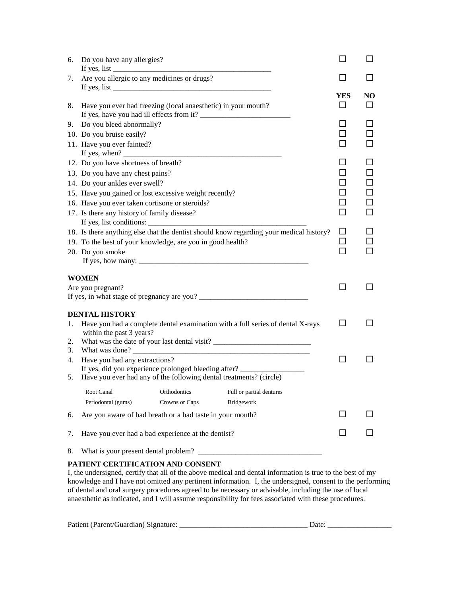| 6. | Do you have any allergies?                                                                     |                |                                                                                         |     |    |
|----|------------------------------------------------------------------------------------------------|----------------|-----------------------------------------------------------------------------------------|-----|----|
| 7. | Are you allergic to any medicines or drugs?                                                    |                |                                                                                         |     |    |
|    |                                                                                                |                |                                                                                         | YES | NO |
| 8. | Have you ever had freezing (local anaesthetic) in your mouth?                                  |                |                                                                                         |     |    |
| 9. | Do you bleed abnormally?                                                                       |                |                                                                                         |     |    |
|    | 10. Do you bruise easily?                                                                      |                |                                                                                         |     | П  |
|    | 11. Have you ever fainted?                                                                     |                |                                                                                         |     | П  |
|    | If yes, when? $\frac{1}{\sqrt{1-\frac{1}{2}} \cdot \frac{1}{\sqrt{1-\frac{1}{2}}}}$            |                |                                                                                         |     |    |
|    | 12. Do you have shortness of breath?                                                           |                |                                                                                         |     | ΙI |
|    | 13. Do you have any chest pains?                                                               |                |                                                                                         |     | П  |
|    | 14. Do your ankles ever swell?                                                                 |                |                                                                                         |     | ΙI |
|    | 15. Have you gained or lost excessive weight recently?                                         |                |                                                                                         |     | □  |
|    | 16. Have you ever taken cortisone or steroids?                                                 |                |                                                                                         |     | □  |
|    | 17. Is there any history of family disease?                                                    |                |                                                                                         |     | П  |
|    |                                                                                                |                |                                                                                         |     |    |
|    |                                                                                                |                | 18. Is there anything else that the dentist should know regarding your medical history? | □   |    |
|    | 19. To the best of your knowledge, are you in good health?                                     |                |                                                                                         |     |    |
|    | 20. Do you smoke                                                                               |                |                                                                                         | ┓   |    |
|    |                                                                                                |                |                                                                                         |     |    |
|    | WOMEN                                                                                          |                |                                                                                         |     |    |
|    | Are you pregnant?                                                                              |                |                                                                                         | ΙI  |    |
|    |                                                                                                |                |                                                                                         |     |    |
|    |                                                                                                |                |                                                                                         |     |    |
|    | <b>DENTAL HISTORY</b>                                                                          |                |                                                                                         |     |    |
| 1. |                                                                                                |                | Have you had a complete dental examination with a full series of dental X-rays          | ΙI  |    |
|    | within the past 3 years?                                                                       |                |                                                                                         |     |    |
| 2. |                                                                                                |                |                                                                                         |     |    |
| 3. |                                                                                                |                | What was done?                                                                          | ΙI  |    |
| 4. | Have you had any extractions?<br>If yes, did you experience prolonged bleeding after? ________ |                |                                                                                         |     |    |
| 5. | Have you ever had any of the following dental treatments? (circle)                             |                |                                                                                         |     |    |
|    |                                                                                                |                |                                                                                         |     |    |
|    | Root Canal                                                                                     | Orthodontics   | Full or partial dentures                                                                |     |    |
|    | Periodontal (gums)                                                                             | Crowns or Caps | Bridgework                                                                              |     |    |
| 6. | Are you aware of bad breath or a bad taste in your mouth?                                      |                |                                                                                         |     |    |
| 7. | Have you ever had a bad experience at the dentist?                                             |                |                                                                                         |     |    |
| 8. | What is your present dental problem?                                                           |                |                                                                                         |     |    |
|    |                                                                                                |                |                                                                                         |     |    |

## **PATIENT CERTIFICATION AND CONSENT**

I, the undersigned, certify that all of the above medical and dental information is true to the best of my knowledge and I have not omitted any pertinent information. I, the undersigned, consent to the performing of dental and oral surgery procedures agreed to be necessary or advisable, including the use of local anaesthetic as indicated, and I will assume responsibility for fees associated with these procedures.

|  |  |  | Patient (Parent/Guardian) Signature: |
|--|--|--|--------------------------------------|
|--|--|--|--------------------------------------|

Patient (Parent/Guardian) Signature: \_\_\_\_\_\_\_\_\_\_\_\_\_\_\_\_\_\_\_\_\_\_\_\_\_\_\_\_\_\_\_\_\_\_ Date: \_\_\_\_\_\_\_\_\_\_\_\_\_\_\_\_\_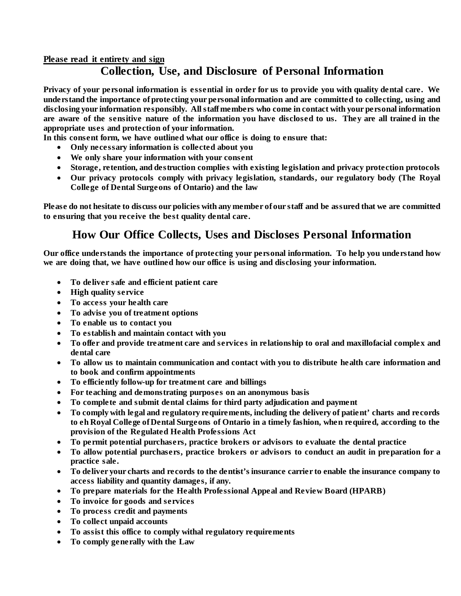## **Please read it entirety and sign Collection, Use, and Disclosure of Personal Information**

**Privacy of your personal information is essential in order for us to provide you with quality dental care. We understand the importance of protecting your personal information and are committed to collecting, using and disclosing your information responsibly. All staff members who come in contact with your personal information are aware of the sensitive nature of the information you have disclosed to us. They are all trained in the appropriate uses and protection of your information.**

**In this consent form, we have outlined what our office is doing to ensure that:**

- **Only necessary information is collected about you**
- **We only share your information with your consent**
- **Storage, retention, and destruction complies with existing legislation and privacy protection protocols**
- **Our privacy protocols comply with privacy legislation, standards, our regulatory body (The Royal College of Dental Surgeons of Ontario) and the law**

**Please do not hesitate to discuss our policies with any member of our staff and be assured that we are committed to ensuring that you receive the best quality dental care.**

## **How Our Office Collects, Uses and Discloses Personal Information**

**Our office understands the importance of protecting your personal information. To help you understand how we are doing that, we have outlined how our office is using and disclosing your information.**

- **To deliver safe and efficient patient care**
- **High quality service**
- **To access your health care**
- **To advise you of treatment options**
- **To enable us to contact you**
- **To establish and maintain contact with you**
- **To offer and provide treatment care and services in relationship to oral and maxillofacial complex and dental care**
- **To allow us to maintain communication and contact with you to distribute health care information and to book and confirm appointments**
- **To efficiently follow-up for treatment care and billings**
- **For teaching and demonstrating purposes on an anonymous basis**
- **To complete and submit dental claims for third party adjudication and payment**
- **To comply with legal and regulatory requirements, including the delivery of patient' charts and records to eh Royal College of Dental Surgeons of Ontario in a timely fashion, when required, according to the provision of the Regulated Health Professions Act**
- **To permit potential purchasers, practice brokers or advisors to evaluate the dental practice**
- **To allow potential purchasers, practice brokers or advisors to conduct an audit in preparation for a practice sale.**
- **To deliver your charts and records to the dentist's insurance carrier to enable the insurance company to access liability and quantity damages, if any.**
- **To prepare materials for the Health Professional Appeal and Review Board (HPARB)**
- **To invoice for goods and services**
- **To process credit and payments**
- **To collect unpaid accounts**
- **To assist this office to comply withal regulatory requirements**
- **To comply generally with the Law**